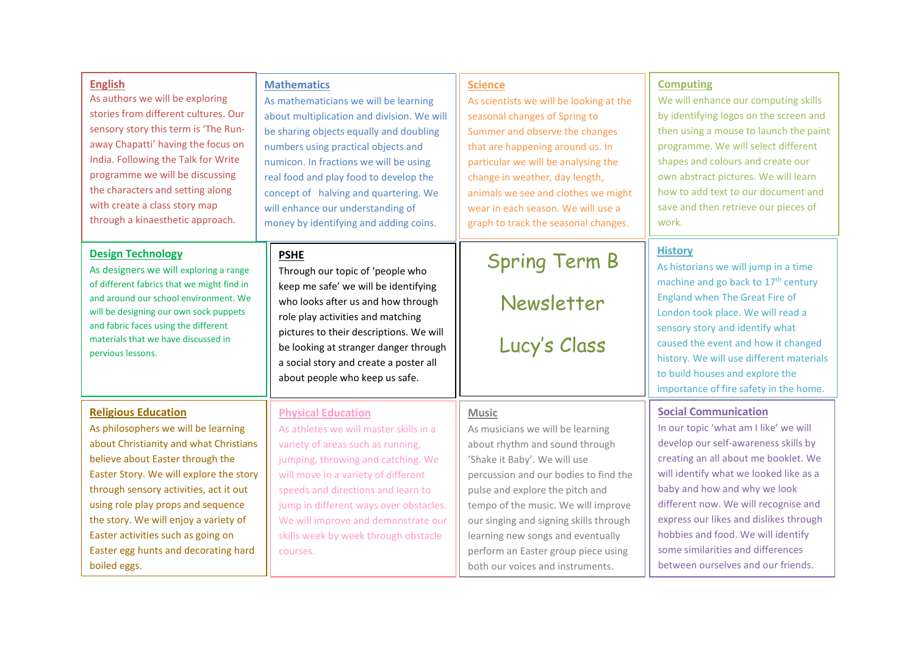| <b>English</b>                                                                                                                                                                                                                                                                                          | <b>Mathematics</b>                                                                                                                                                                                                                                                                                                                 | <b>Science</b>                                     | <b>Computing</b>                                                                                                                                                                                                                                                                                                                                                                    |
|---------------------------------------------------------------------------------------------------------------------------------------------------------------------------------------------------------------------------------------------------------------------------------------------------------|------------------------------------------------------------------------------------------------------------------------------------------------------------------------------------------------------------------------------------------------------------------------------------------------------------------------------------|----------------------------------------------------|-------------------------------------------------------------------------------------------------------------------------------------------------------------------------------------------------------------------------------------------------------------------------------------------------------------------------------------------------------------------------------------|
| As authors we will be exploring                                                                                                                                                                                                                                                                         | As mathematicians we will be learning                                                                                                                                                                                                                                                                                              | As scientists we will be looking at the            | We will enhance our computing skills                                                                                                                                                                                                                                                                                                                                                |
| stories from different cultures. Our                                                                                                                                                                                                                                                                    | about multiplication and division. We will                                                                                                                                                                                                                                                                                         | seasonal changes of Spring to                      | by identifying logos on the screen and                                                                                                                                                                                                                                                                                                                                              |
| sensory story this term is 'The Run-                                                                                                                                                                                                                                                                    | be sharing objects equally and doubling                                                                                                                                                                                                                                                                                            | Summer and observe the changes                     | then using a mouse to launch the paint                                                                                                                                                                                                                                                                                                                                              |
| away Chapatti' having the focus on                                                                                                                                                                                                                                                                      | numbers using practical objects and                                                                                                                                                                                                                                                                                                | that are happening around us. In                   | programme. We will select different                                                                                                                                                                                                                                                                                                                                                 |
| India. Following the Talk for Write                                                                                                                                                                                                                                                                     | numicon. In fractions we will be using                                                                                                                                                                                                                                                                                             | particular we will be analysing the                | shapes and colours and create our                                                                                                                                                                                                                                                                                                                                                   |
| programme we will be discussing                                                                                                                                                                                                                                                                         | real food and play food to develop the                                                                                                                                                                                                                                                                                             | change in weather, day length,                     | own abstract pictures. We will learn                                                                                                                                                                                                                                                                                                                                                |
| the characters and setting along                                                                                                                                                                                                                                                                        | concept of halving and quartering. We                                                                                                                                                                                                                                                                                              | animals we see and clothes we might                | how to add text to our document and                                                                                                                                                                                                                                                                                                                                                 |
| with create a class story map                                                                                                                                                                                                                                                                           | will enhance our understanding of                                                                                                                                                                                                                                                                                                  | wear in each season. We will use a                 | save and then retrieve our pieces of                                                                                                                                                                                                                                                                                                                                                |
| through a kinaesthetic approach.                                                                                                                                                                                                                                                                        | money by identifying and adding coins.                                                                                                                                                                                                                                                                                             | graph to track the seasonal changes.               | work.                                                                                                                                                                                                                                                                                                                                                                               |
| <b>Design Technology</b><br>As designers we will exploring a range<br>of different fabrics that we might find in<br>and around our school environment. We<br>will be designing our own sock puppets<br>and fabric faces using the different<br>materials that we have discussed in<br>pervious lessons. | <b>PSHE</b><br>Through our topic of 'people who<br>keep me safe' we will be identifying<br>who looks after us and how through<br>role play activities and matching<br>pictures to their descriptions. We will<br>be looking at stranger danger through<br>a social story and create a poster all<br>about people who keep us safe. | <b>Spring Term B</b><br>Newsletter<br>Lucy's Class | <b>History</b><br>As historians we will jump in a time<br>machine and go back to 17 <sup>th</sup> century<br>England when The Great Fire of<br>London took place. We will read a<br>sensory story and identify what<br>caused the event and how it changed<br>history. We will use different materials<br>to build houses and explore the<br>importance of fire safety in the home. |
| <b>Religious Education</b>                                                                                                                                                                                                                                                                              | <b>Physical Education</b>                                                                                                                                                                                                                                                                                                          | <b>Music</b>                                       | <b>Social Communication</b>                                                                                                                                                                                                                                                                                                                                                         |
| As philosophers we will be learning                                                                                                                                                                                                                                                                     | As athletes we will master skills in a                                                                                                                                                                                                                                                                                             | As musicians we will be learning                   | In our topic 'what am I like' we will                                                                                                                                                                                                                                                                                                                                               |
| about Christianity and what Christians                                                                                                                                                                                                                                                                  | variety of areas such as running,                                                                                                                                                                                                                                                                                                  | about rhythm and sound through                     | develop our self-awareness skills by                                                                                                                                                                                                                                                                                                                                                |
| believe about Easter through the                                                                                                                                                                                                                                                                        | jumping, throwing and catching. We                                                                                                                                                                                                                                                                                                 | 'Shake it Baby'. We will use                       | creating an all about me booklet. We                                                                                                                                                                                                                                                                                                                                                |
| Easter Story. We will explore the story                                                                                                                                                                                                                                                                 | will move in a variety of different                                                                                                                                                                                                                                                                                                | percussion and our bodies to find the              | will identify what we looked like as a                                                                                                                                                                                                                                                                                                                                              |
| through sensory activities, act it out                                                                                                                                                                                                                                                                  | speeds and directions and learn to                                                                                                                                                                                                                                                                                                 | pulse and explore the pitch and                    | baby and how and why we look                                                                                                                                                                                                                                                                                                                                                        |
| using role play props and sequence                                                                                                                                                                                                                                                                      | jump in different ways over obstacles.                                                                                                                                                                                                                                                                                             | tempo of the music. We will improve                | different now. We will recognise and                                                                                                                                                                                                                                                                                                                                                |
| the story. We will enjoy a variety of                                                                                                                                                                                                                                                                   | We will improve and demonstrate our                                                                                                                                                                                                                                                                                                | our singing and signing skills through             | express our likes and dislikes through                                                                                                                                                                                                                                                                                                                                              |
| Easter activities such as going on                                                                                                                                                                                                                                                                      | skills week by week through obstacle                                                                                                                                                                                                                                                                                               | learning new songs and eventually                  | hobbies and food. We will identify                                                                                                                                                                                                                                                                                                                                                  |
| Easter egg hunts and decorating hard                                                                                                                                                                                                                                                                    | courses.                                                                                                                                                                                                                                                                                                                           | perform an Easter group piece using                | some similarities and differences                                                                                                                                                                                                                                                                                                                                                   |
| boiled eggs.                                                                                                                                                                                                                                                                                            |                                                                                                                                                                                                                                                                                                                                    | both our voices and instruments.                   | between ourselves and our friends.                                                                                                                                                                                                                                                                                                                                                  |